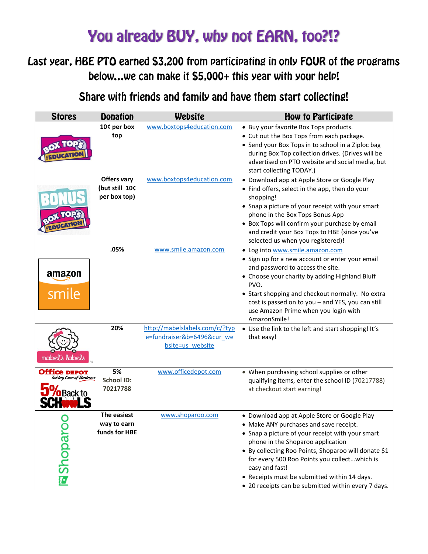## You already BUY, why not EARN, too?!?

## Last year, HBE PTO earned \$3,200 from participating in only FOUR of the programs below...we can make it \$5,000+ this year with your help!

Share with friends and family and have them start collecting!

| <b>Stores</b>                                  | <b>Donation</b>                               | Website                                                                          | <b>How to Participate</b>                                                                                                                                                                                                                                                                                                                                                                                        |
|------------------------------------------------|-----------------------------------------------|----------------------------------------------------------------------------------|------------------------------------------------------------------------------------------------------------------------------------------------------------------------------------------------------------------------------------------------------------------------------------------------------------------------------------------------------------------------------------------------------------------|
|                                                | 10¢ per box<br>top                            | www.boxtops4education.com                                                        | • Buy your favorite Box Tops products.<br>• Cut out the Box Tops from each package.<br>• Send your Box Tops in to school in a Ziploc bag<br>during Box Top collection drives. (Drives will be<br>advertised on PTO website and social media, but<br>start collecting TODAY.)                                                                                                                                     |
|                                                | Offers vary<br>(but still 10¢<br>per box top) | www.boxtops4education.com                                                        | • Download app at Apple Store or Google Play<br>• Find offers, select in the app, then do your<br>shopping!<br>• Snap a picture of your receipt with your smart<br>phone in the Box Tops Bonus App<br>• Box Tops will confirm your purchase by email<br>and credit your Box Tops to HBE (since you've<br>selected us when you registered)!                                                                       |
| amazon<br>smile                                | .05%                                          | www.smile.amazon.com                                                             | • Log into www.smile.amazon.com<br>• Sign up for a new account or enter your email<br>and password to access the site.<br>• Choose your charity by adding Highland Bluff<br>PVO.<br>• Start shopping and checkout normally. No extra<br>cost is passed on to you - and YES, you can still<br>use Amazon Prime when you login with<br>AmazonSmile!                                                                |
| mabel's labels                                 | 20%                                           | http://mabelslabels.com/c/?typ<br>e=fundraiser&b=6496&cur we<br>bsite=us website | • Use the link to the left and start shopping! It's<br>that easy!                                                                                                                                                                                                                                                                                                                                                |
| <b>Office DEPOT</b><br>Taking Care of Business | 5%<br><b>School ID:</b><br>70217788           | www.officedepot.com                                                              | • When purchasing school supplies or other<br>qualifying items, enter the school ID (70217788)<br>at checkout start earning!                                                                                                                                                                                                                                                                                     |
| <b>El Shoparo</b>                              | The easiest<br>way to earn<br>funds for HBE   | www.shoparoo.com                                                                 | • Download app at Apple Store or Google Play<br>• Make ANY purchases and save receipt.<br>• Snap a picture of your receipt with your smart<br>phone in the Shoparoo application<br>• By collecting Roo Points, Shoparoo will donate \$1<br>for every 500 Roo Points you collectwhich is<br>easy and fast!<br>• Receipts must be submitted within 14 days.<br>• 20 receipts can be submitted within every 7 days. |